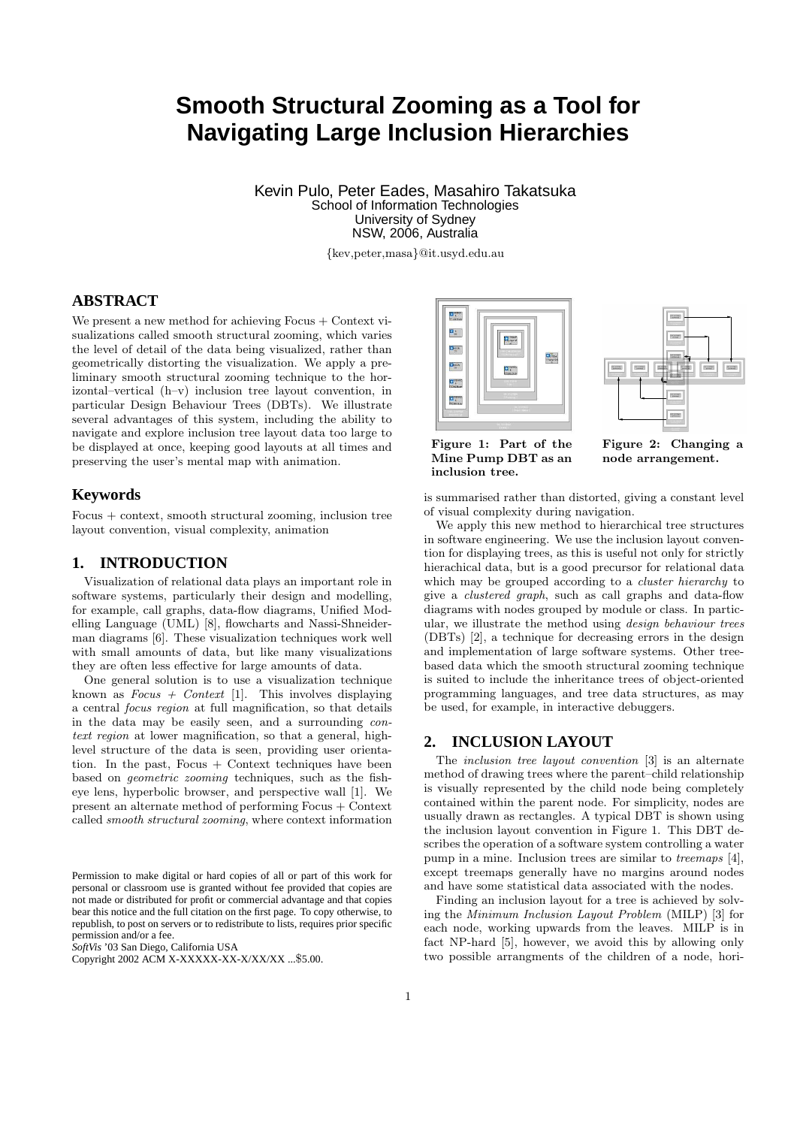# **Smooth Structural Zooming as a Tool for Navigating Large Inclusion Hierarchies**

Kevin Pulo, Peter Eades, Masahiro Takatsuka School of Information Technologies University of Sydney NSW, 2006, Australia

{kev,peter,masa}@it.usyd.edu.au

# **ABSTRACT**

We present a new method for achieving Focus + Context visualizations called smooth structural zooming, which varies the level of detail of the data being visualized, rather than geometrically distorting the visualization. We apply a preliminary smooth structural zooming technique to the horizontal–vertical (h–v) inclusion tree layout convention, in particular Design Behaviour Trees (DBTs). We illustrate several advantages of this system, including the ability to navigate and explore inclusion tree layout data too large to be displayed at once, keeping good layouts at all times and preserving the user's mental map with animation.

### **Keywords**

Focus + context, smooth structural zooming, inclusion tree layout convention, visual complexity, animation

# **1. INTRODUCTION**

Visualization of relational data plays an important role in software systems, particularly their design and modelling, for example, call graphs, data-flow diagrams, Unified Modelling Language (UML) [8], flowcharts and Nassi-Shneiderman diagrams [6]. These visualization techniques work well with small amounts of data, but like many visualizations they are often less effective for large amounts of data.

One general solution is to use a visualization technique known as  $Focus + Context$  [1]. This involves displaying a central focus region at full magnification, so that details in the data may be easily seen, and a surrounding context region at lower magnification, so that a general, highlevel structure of the data is seen, providing user orientation. In the past, Focus  $+$  Context techniques have been based on geometric zooming techniques, such as the fisheye lens, hyperbolic browser, and perspective wall [1]. We present an alternate method of performing Focus + Context called smooth structural zooming, where context information

Permission to make digital or hard copies of all or part of this work for personal or classroom use is granted without fee provided that copies are not made or distributed for profit or commercial advantage and that copies bear this notice and the full citation on the first page. To copy otherwise, to republish, to post on servers or to redistribute to lists, requires prior specific permission and/or a fee.

*SoftVis* '03 San Diego, California USA





Figure 1: Part of the Mine Pump DBT as an inclusion tree.

Figure 2: Changing a node arrangement.

is summarised rather than distorted, giving a constant level of visual complexity during navigation.

We apply this new method to hierarchical tree structures in software engineering. We use the inclusion layout convention for displaying trees, as this is useful not only for strictly hierachical data, but is a good precursor for relational data which may be grouped according to a *cluster hierarchy* to give a clustered graph, such as call graphs and data-flow diagrams with nodes grouped by module or class. In particular, we illustrate the method using design behaviour trees (DBTs) [2], a technique for decreasing errors in the design and implementation of large software systems. Other treebased data which the smooth structural zooming technique is suited to include the inheritance trees of object-oriented programming languages, and tree data structures, as may be used, for example, in interactive debuggers.

## **2. INCLUSION LAYOUT**

The inclusion tree layout convention [3] is an alternate method of drawing trees where the parent–child relationship is visually represented by the child node being completely contained within the parent node. For simplicity, nodes are usually drawn as rectangles. A typical DBT is shown using the inclusion layout convention in Figure 1. This DBT describes the operation of a software system controlling a water pump in a mine. Inclusion trees are similar to treemaps [4], except treemaps generally have no margins around nodes and have some statistical data associated with the nodes.

Finding an inclusion layout for a tree is achieved by solving the Minimum Inclusion Layout Problem (MILP) [3] for each node, working upwards from the leaves. MILP is in fact NP-hard [5], however, we avoid this by allowing only two possible arrangments of the children of a node, hori-

Copyright 2002 ACM X-XXXXX-XX-X/XX/XX ...\$5.00.